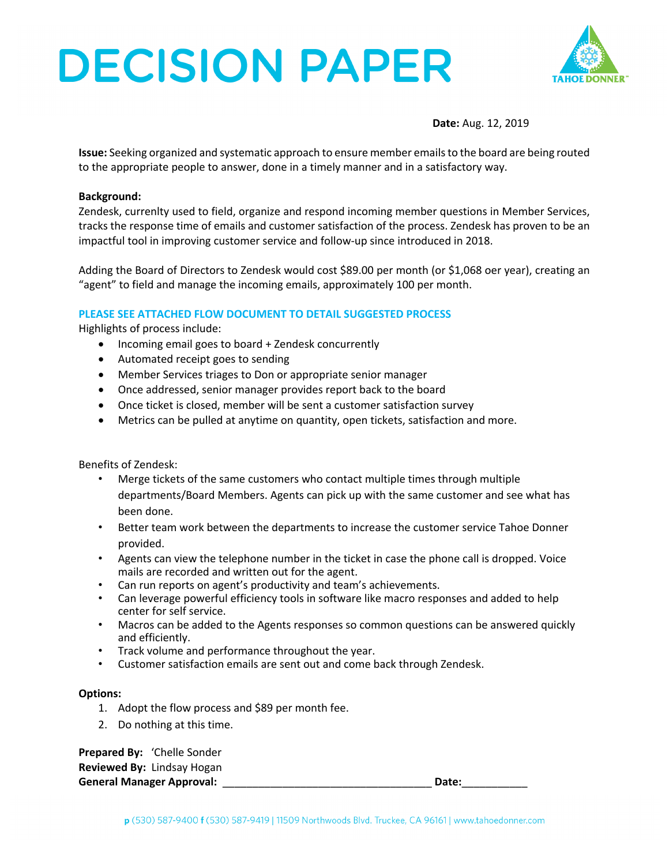# **DECISION PAPER**



**Date:** Aug. 12, 2019

**Issue:** Seeking organized and systematic approach to ensure member emails to the board are being routed to the appropriate people to answer, done in a timely manner and in a satisfactory way.

#### **Background:**

Zendesk, currenlty used to field, organize and respond incoming member questions in Member Services, tracks the response time of emails and customer satisfaction of the process. Zendesk has proven to be an impactful tool in improving customer service and follow-up since introduced in 2018.

Adding the Board of Directors to Zendesk would cost \$89.00 per month (or \$1,068 oer year), creating an "agent" to field and manage the incoming emails, approximately 100 per month.

### **PLEASE SEE ATTACHED FLOW DOCUMENT TO DETAIL SUGGESTED PROCESS**

Highlights of process include:

- Incoming email goes to board + Zendesk concurrently
- Automated receipt goes to sending
- Member Services triages to Don or appropriate senior manager
- Once addressed, senior manager provides report back to the board
- Once ticket is closed, member will be sent a customer satisfaction survey
- Metrics can be pulled at anytime on quantity, open tickets, satisfaction and more.

Benefits of Zendesk:

- Merge tickets of the same customers who contact multiple times through multiple departments/Board Members. Agents can pick up with the same customer and see what has been done.
- Better team work between the departments to increase the customer service Tahoe Donner provided.
- Agents can view the telephone number in the ticket in case the phone call is dropped. Voice mails are recorded and written out for the agent.
- Can run reports on agent's productivity and team's achievements.
- Can leverage powerful efficiency tools in software like macro responses and added to help center for self service.
- Macros can be added to the Agents responses so common questions can be answered quickly and efficiently.
- Track volume and performance throughout the year.
- Customer satisfaction emails are sent out and come back through Zendesk.

#### **Options:**

- 1. Adopt the flow process and \$89 per month fee.
- 2. Do nothing at this time.

**Prepared By:** 'Chelle Sonder **Reviewed By:** Lindsay Hogan **General Manager Approval:** \_\_\_\_\_\_\_\_\_\_\_\_\_\_\_\_\_\_\_\_\_\_\_\_\_\_\_\_\_\_\_\_\_\_\_ **Date:**\_\_\_\_\_\_\_\_\_\_\_